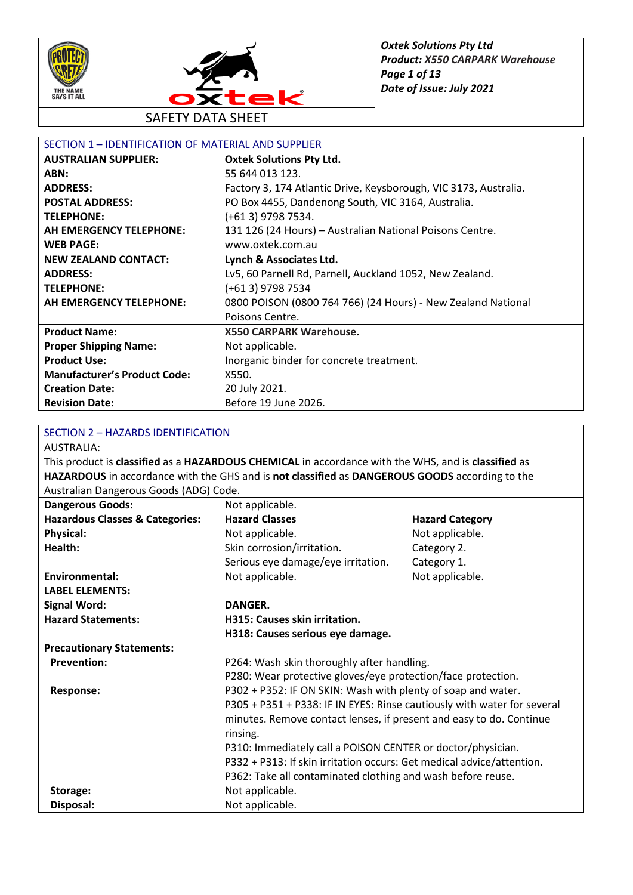



| SECTION 1 - IDENTIFICATION OF MATERIAL AND SUPPLIER |                                                                  |
|-----------------------------------------------------|------------------------------------------------------------------|
| <b>AUSTRALIAN SUPPLIER:</b>                         | <b>Oxtek Solutions Pty Ltd.</b>                                  |
| ABN:                                                | 55 644 013 123.                                                  |
| <b>ADDRESS:</b>                                     | Factory 3, 174 Atlantic Drive, Keysborough, VIC 3173, Australia. |
| <b>POSTAL ADDRESS:</b>                              | PO Box 4455, Dandenong South, VIC 3164, Australia.               |
| <b>TELEPHONE:</b>                                   | (+61 3) 9798 7534.                                               |
| AH EMERGENCY TELEPHONE:                             | 131 126 (24 Hours) - Australian National Poisons Centre.         |
| <b>WEB PAGE:</b>                                    | www.oxtek.com.au                                                 |
| <b>NEW ZEALAND CONTACT:</b>                         | Lynch & Associates Ltd.                                          |
| <b>ADDRESS:</b>                                     | Lv5, 60 Parnell Rd, Parnell, Auckland 1052, New Zealand.         |
| <b>TELEPHONE:</b>                                   | (+61 3) 9798 7534                                                |
| AH EMERGENCY TELEPHONE:                             | 0800 POISON (0800 764 766) (24 Hours) - New Zealand National     |
|                                                     | Poisons Centre.                                                  |
| <b>Product Name:</b>                                | <b>X550 CARPARK Warehouse.</b>                                   |
| <b>Proper Shipping Name:</b>                        | Not applicable.                                                  |
| <b>Product Use:</b>                                 | Inorganic binder for concrete treatment.                         |
| <b>Manufacturer's Product Code:</b>                 | X550.                                                            |
| <b>Creation Date:</b>                               | 20 July 2021.                                                    |
| <b>Revision Date:</b>                               | Before 19 June 2026.                                             |

#### SECTION 2 – HAZARDS IDENTIFICATION

AUSTRALIA:

This product is **classified** as a **HAZARDOUS CHEMICAL** in accordance with the WHS, and is **classified** as **HAZARDOUS** in accordance with the GHS and is **not classified** as **DANGEROUS GOODS** according to the Australian Dangerous Goods (ADG) Code.

| <b>Dangerous Goods:</b>                    | Not applicable.                                                         |                        |  |
|--------------------------------------------|-------------------------------------------------------------------------|------------------------|--|
| <b>Hazardous Classes &amp; Categories:</b> | <b>Hazard Classes</b>                                                   | <b>Hazard Category</b> |  |
| <b>Physical:</b>                           | Not applicable.                                                         | Not applicable.        |  |
| Health:                                    | Skin corrosion/irritation.                                              | Category 2.            |  |
|                                            | Serious eye damage/eye irritation.                                      | Category 1.            |  |
| <b>Environmental:</b>                      | Not applicable.                                                         | Not applicable.        |  |
| <b>LABEL ELEMENTS:</b>                     |                                                                         |                        |  |
| <b>Signal Word:</b>                        | <b>DANGER.</b>                                                          |                        |  |
| <b>Hazard Statements:</b>                  | H315: Causes skin irritation.                                           |                        |  |
|                                            | H318: Causes serious eye damage.                                        |                        |  |
| <b>Precautionary Statements:</b>           |                                                                         |                        |  |
| <b>Prevention:</b>                         | P264: Wash skin thoroughly after handling.                              |                        |  |
|                                            | P280: Wear protective gloves/eye protection/face protection.            |                        |  |
| <b>Response:</b>                           | P302 + P352: IF ON SKIN: Wash with plenty of soap and water.            |                        |  |
|                                            | P305 + P351 + P338: IF IN EYES: Rinse cautiously with water for several |                        |  |
|                                            | minutes. Remove contact lenses, if present and easy to do. Continue     |                        |  |
|                                            | rinsing.                                                                |                        |  |
|                                            | P310: Immediately call a POISON CENTER or doctor/physician.             |                        |  |
|                                            | P332 + P313: If skin irritation occurs: Get medical advice/attention.   |                        |  |
|                                            | P362: Take all contaminated clothing and wash before reuse.             |                        |  |
| Storage:                                   | Not applicable.                                                         |                        |  |
| Disposal:                                  | Not applicable.                                                         |                        |  |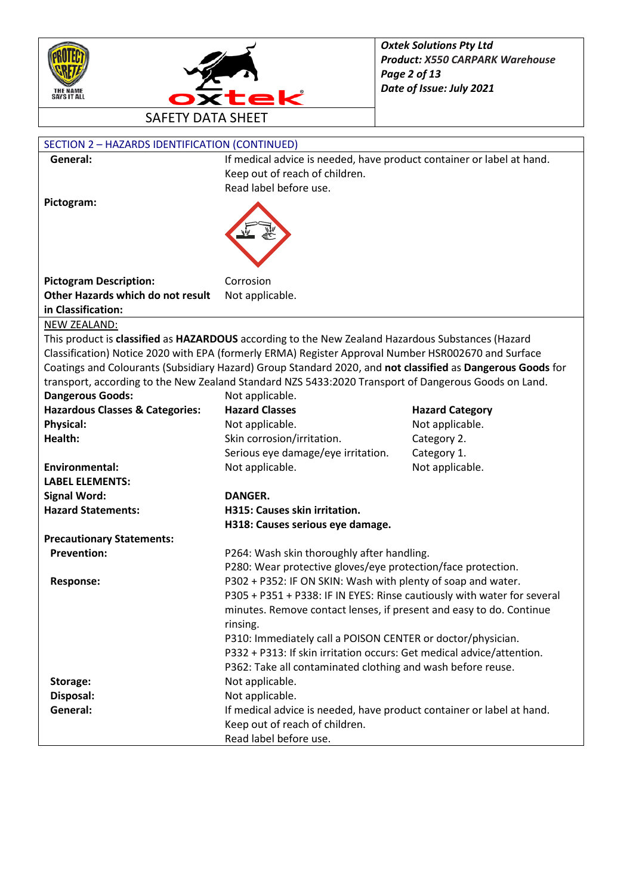



| SECTION 2 - HAZARDS IDENTIFICATION (CONTINUED) |                                                                                                            |                        |
|------------------------------------------------|------------------------------------------------------------------------------------------------------------|------------------------|
| General:                                       | If medical advice is needed, have product container or label at hand.                                      |                        |
|                                                | Keep out of reach of children.                                                                             |                        |
|                                                | Read label before use.                                                                                     |                        |
| Pictogram:                                     |                                                                                                            |                        |
|                                                |                                                                                                            |                        |
|                                                |                                                                                                            |                        |
|                                                |                                                                                                            |                        |
|                                                |                                                                                                            |                        |
| <b>Pictogram Description:</b>                  | Corrosion                                                                                                  |                        |
| Other Hazards which do not result              | Not applicable.                                                                                            |                        |
| in Classification:                             |                                                                                                            |                        |
| NEW ZEALAND:                                   |                                                                                                            |                        |
|                                                | This product is classified as HAZARDOUS according to the New Zealand Hazardous Substances (Hazard          |                        |
|                                                | Classification) Notice 2020 with EPA (formerly ERMA) Register Approval Number HSR002670 and Surface        |                        |
|                                                | Coatings and Colourants (Subsidiary Hazard) Group Standard 2020, and not classified as Dangerous Goods for |                        |
|                                                | transport, according to the New Zealand Standard NZS 5433:2020 Transport of Dangerous Goods on Land.       |                        |
| <b>Dangerous Goods:</b>                        | Not applicable.                                                                                            |                        |
| <b>Hazardous Classes &amp; Categories:</b>     | <b>Hazard Classes</b>                                                                                      | <b>Hazard Category</b> |
| <b>Physical:</b>                               | Not applicable.                                                                                            | Not applicable.        |
| Health:                                        | Skin corrosion/irritation.                                                                                 | Category 2.            |
|                                                | Serious eye damage/eye irritation.                                                                         | Category 1.            |
| <b>Environmental:</b>                          | Not applicable.                                                                                            | Not applicable.        |
| <b>LABEL ELEMENTS:</b>                         |                                                                                                            |                        |
| <b>Signal Word:</b>                            | <b>DANGER.</b>                                                                                             |                        |
| <b>Hazard Statements:</b>                      | H315: Causes skin irritation.                                                                              |                        |
|                                                | H318: Causes serious eye damage.                                                                           |                        |
| <b>Precautionary Statements:</b>               |                                                                                                            |                        |
| <b>Prevention:</b>                             | P264: Wash skin thoroughly after handling.                                                                 |                        |
|                                                | P280: Wear protective gloves/eye protection/face protection.                                               |                        |
| <b>Response:</b>                               | P302 + P352: IF ON SKIN: Wash with plenty of soap and water.                                               |                        |
|                                                | P305 + P351 + P338: IF IN EYES: Rinse cautiously with water for several                                    |                        |
|                                                | minutes. Remove contact lenses, if present and easy to do. Continue                                        |                        |
|                                                | rinsing.                                                                                                   |                        |
|                                                | P310: Immediately call a POISON CENTER or doctor/physician.                                                |                        |
|                                                | P332 + P313: If skin irritation occurs: Get medical advice/attention.                                      |                        |
|                                                | P362: Take all contaminated clothing and wash before reuse.                                                |                        |
| Storage:                                       | Not applicable.                                                                                            |                        |
| Disposal:<br>General:                          | Not applicable.                                                                                            |                        |
|                                                | If medical advice is needed, have product container or label at hand.<br>Keep out of reach of children.    |                        |
|                                                |                                                                                                            |                        |
|                                                | Read label before use.                                                                                     |                        |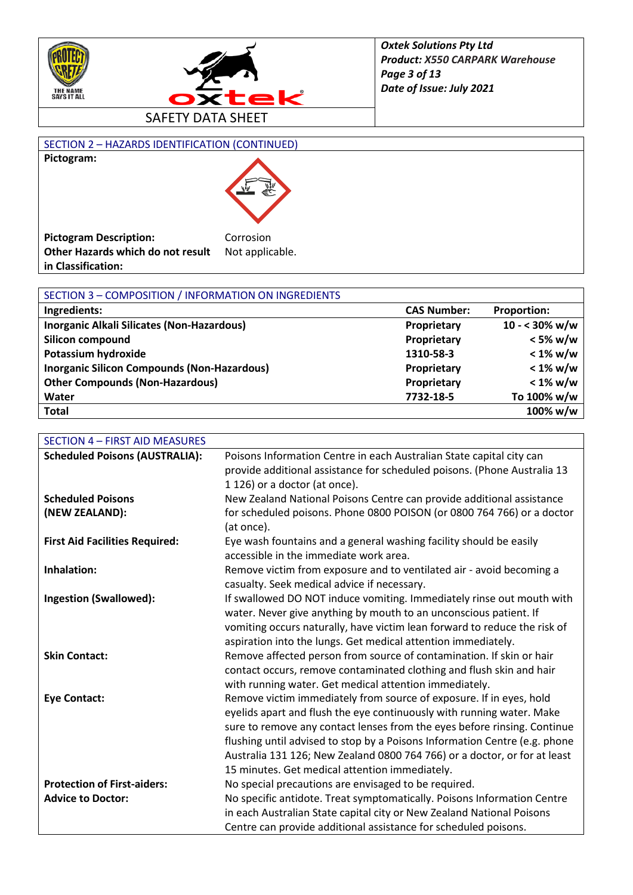



## SECTION 2 – HAZARDS IDENTIFICATION (CONTINUED) **Pictogram:**



| <b>Pictogram Description:</b>     | Corrosion       |
|-----------------------------------|-----------------|
| Other Hazards which do not result | Not applicable. |
| in Classification:                |                 |

| SECTION 3 - COMPOSITION / INFORMATION ON INGREDIENTS |                    |                         |
|------------------------------------------------------|--------------------|-------------------------|
| Ingredients:                                         | <b>CAS Number:</b> | <b>Proportion:</b>      |
| Inorganic Alkali Silicates (Non-Hazardous)           | Proprietary        | $10 - 30\% \text{ w/w}$ |
| Silicon compound                                     | Proprietary        | $< 5\%$ w/w             |
| Potassium hydroxide                                  | 1310-58-3          | $< 1\%$ w/w             |
| <b>Inorganic Silicon Compounds (Non-Hazardous)</b>   | Proprietary        | $< 1\%$ w/w             |
| <b>Other Compounds (Non-Hazardous)</b>               | Proprietary        | $< 1\%$ w/w             |
| Water                                                | 7732-18-5          | To 100% w/w             |
| <b>Total</b>                                         |                    | 100% w/w                |

| <b>SECTION 4 - FIRST AID MEASURES</b> |                                                                            |
|---------------------------------------|----------------------------------------------------------------------------|
| <b>Scheduled Poisons (AUSTRALIA):</b> | Poisons Information Centre in each Australian State capital city can       |
|                                       | provide additional assistance for scheduled poisons. (Phone Australia 13   |
|                                       | 1 126) or a doctor (at once).                                              |
| <b>Scheduled Poisons</b>              | New Zealand National Poisons Centre can provide additional assistance      |
| (NEW ZEALAND):                        | for scheduled poisons. Phone 0800 POISON (or 0800 764 766) or a doctor     |
|                                       | (at once).                                                                 |
| <b>First Aid Facilities Required:</b> | Eye wash fountains and a general washing facility should be easily         |
|                                       | accessible in the immediate work area.                                     |
| Inhalation:                           | Remove victim from exposure and to ventilated air - avoid becoming a       |
|                                       | casualty. Seek medical advice if necessary.                                |
| <b>Ingestion (Swallowed):</b>         | If swallowed DO NOT induce vomiting. Immediately rinse out mouth with      |
|                                       | water. Never give anything by mouth to an unconscious patient. If          |
|                                       | vomiting occurs naturally, have victim lean forward to reduce the risk of  |
|                                       | aspiration into the lungs. Get medical attention immediately.              |
| <b>Skin Contact:</b>                  | Remove affected person from source of contamination. If skin or hair       |
|                                       | contact occurs, remove contaminated clothing and flush skin and hair       |
|                                       | with running water. Get medical attention immediately.                     |
| <b>Eye Contact:</b>                   | Remove victim immediately from source of exposure. If in eyes, hold        |
|                                       | eyelids apart and flush the eye continuously with running water. Make      |
|                                       | sure to remove any contact lenses from the eyes before rinsing. Continue   |
|                                       | flushing until advised to stop by a Poisons Information Centre (e.g. phone |
|                                       | Australia 131 126; New Zealand 0800 764 766) or a doctor, or for at least  |
|                                       | 15 minutes. Get medical attention immediately.                             |
| <b>Protection of First-aiders:</b>    | No special precautions are envisaged to be required.                       |
| <b>Advice to Doctor:</b>              | No specific antidote. Treat symptomatically. Poisons Information Centre    |
|                                       | in each Australian State capital city or New Zealand National Poisons      |
|                                       | Centre can provide additional assistance for scheduled poisons.            |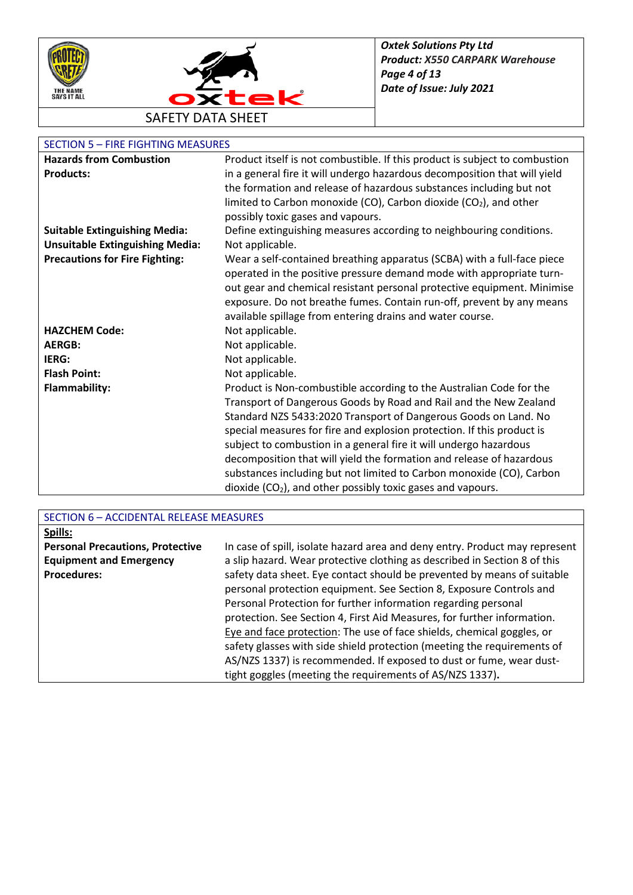



## SECTION 5 – FIRE FIGHTING MEASURES

| <b>Hazards from Combustion</b>         | Product itself is not combustible. If this product is subject to combustion   |
|----------------------------------------|-------------------------------------------------------------------------------|
| <b>Products:</b>                       | in a general fire it will undergo hazardous decomposition that will yield     |
|                                        | the formation and release of hazardous substances including but not           |
|                                        | limited to Carbon monoxide (CO), Carbon dioxide (CO <sub>2</sub> ), and other |
|                                        | possibly toxic gases and vapours.                                             |
| <b>Suitable Extinguishing Media:</b>   | Define extinguishing measures according to neighbouring conditions.           |
| <b>Unsuitable Extinguishing Media:</b> | Not applicable.                                                               |
| <b>Precautions for Fire Fighting:</b>  | Wear a self-contained breathing apparatus (SCBA) with a full-face piece       |
|                                        | operated in the positive pressure demand mode with appropriate turn-          |
|                                        | out gear and chemical resistant personal protective equipment. Minimise       |
|                                        | exposure. Do not breathe fumes. Contain run-off, prevent by any means         |
|                                        | available spillage from entering drains and water course.                     |
| <b>HAZCHEM Code:</b>                   | Not applicable.                                                               |
| <b>AERGB:</b>                          | Not applicable.                                                               |
| IERG:                                  | Not applicable.                                                               |
| <b>Flash Point:</b>                    | Not applicable.                                                               |
| <b>Flammability:</b>                   | Product is Non-combustible according to the Australian Code for the           |
|                                        | Transport of Dangerous Goods by Road and Rail and the New Zealand             |
|                                        | Standard NZS 5433:2020 Transport of Dangerous Goods on Land. No               |
|                                        | special measures for fire and explosion protection. If this product is        |
|                                        | subject to combustion in a general fire it will undergo hazardous             |
|                                        | decomposition that will yield the formation and release of hazardous          |
|                                        | substances including but not limited to Carbon monoxide (CO), Carbon          |
|                                        | dioxide $(CO2)$ , and other possibly toxic gases and vapours.                 |

| SECTION 6 - ACCIDENTAL RELEASE MEASURES |                                                                             |  |
|-----------------------------------------|-----------------------------------------------------------------------------|--|
| Spills:                                 |                                                                             |  |
| <b>Personal Precautions, Protective</b> | In case of spill, isolate hazard area and deny entry. Product may represent |  |
| <b>Equipment and Emergency</b>          | a slip hazard. Wear protective clothing as described in Section 8 of this   |  |
| <b>Procedures:</b>                      | safety data sheet. Eye contact should be prevented by means of suitable     |  |
|                                         | personal protection equipment. See Section 8, Exposure Controls and         |  |
|                                         | Personal Protection for further information regarding personal              |  |
|                                         | protection. See Section 4, First Aid Measures, for further information.     |  |
|                                         | Eye and face protection: The use of face shields, chemical goggles, or      |  |
|                                         | safety glasses with side shield protection (meeting the requirements of     |  |
|                                         | AS/NZS 1337) is recommended. If exposed to dust or fume, wear dust-         |  |
|                                         | tight goggles (meeting the requirements of AS/NZS 1337).                    |  |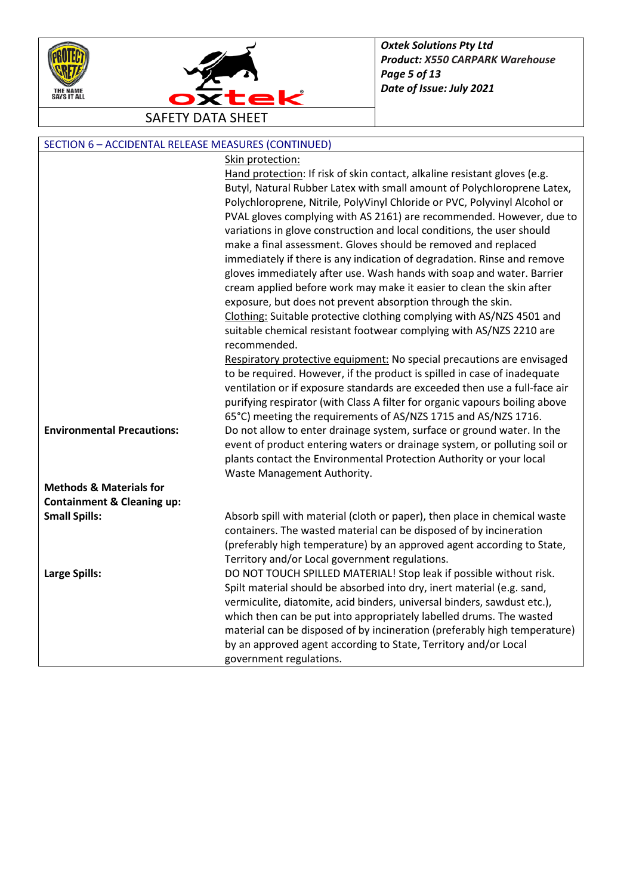



| SECTION 6 - ACCIDENTAL RELEASE MEASURES (CONTINUED) |                                                                             |  |
|-----------------------------------------------------|-----------------------------------------------------------------------------|--|
|                                                     | Skin protection:                                                            |  |
|                                                     | Hand protection: If risk of skin contact, alkaline resistant gloves (e.g.   |  |
|                                                     | Butyl, Natural Rubber Latex with small amount of Polychloroprene Latex,     |  |
|                                                     | Polychloroprene, Nitrile, PolyVinyl Chloride or PVC, Polyvinyl Alcohol or   |  |
|                                                     | PVAL gloves complying with AS 2161) are recommended. However, due to        |  |
|                                                     | variations in glove construction and local conditions, the user should      |  |
|                                                     | make a final assessment. Gloves should be removed and replaced              |  |
|                                                     | immediately if there is any indication of degradation. Rinse and remove     |  |
|                                                     | gloves immediately after use. Wash hands with soap and water. Barrier       |  |
|                                                     | cream applied before work may make it easier to clean the skin after        |  |
|                                                     | exposure, but does not prevent absorption through the skin.                 |  |
|                                                     | Clothing: Suitable protective clothing complying with AS/NZS 4501 and       |  |
|                                                     | suitable chemical resistant footwear complying with AS/NZS 2210 are         |  |
|                                                     | recommended.                                                                |  |
|                                                     | Respiratory protective equipment: No special precautions are envisaged      |  |
|                                                     | to be required. However, if the product is spilled in case of inadequate    |  |
|                                                     | ventilation or if exposure standards are exceeded then use a full-face air  |  |
|                                                     | purifying respirator (with Class A filter for organic vapours boiling above |  |
|                                                     | 65°C) meeting the requirements of AS/NZS 1715 and AS/NZS 1716.              |  |
| <b>Environmental Precautions:</b>                   | Do not allow to enter drainage system, surface or ground water. In the      |  |
|                                                     | event of product entering waters or drainage system, or polluting soil or   |  |
|                                                     | plants contact the Environmental Protection Authority or your local         |  |
|                                                     | Waste Management Authority.                                                 |  |
| <b>Methods &amp; Materials for</b>                  |                                                                             |  |
| <b>Containment &amp; Cleaning up:</b>               |                                                                             |  |
| <b>Small Spills:</b>                                | Absorb spill with material (cloth or paper), then place in chemical waste   |  |
|                                                     | containers. The wasted material can be disposed of by incineration          |  |
|                                                     | (preferably high temperature) by an approved agent according to State,      |  |
|                                                     | Territory and/or Local government regulations.                              |  |
| <b>Large Spills:</b>                                | DO NOT TOUCH SPILLED MATERIAL! Stop leak if possible without risk.          |  |
|                                                     | Spilt material should be absorbed into dry, inert material (e.g. sand,      |  |
|                                                     | vermiculite, diatomite, acid binders, universal binders, sawdust etc.),     |  |
|                                                     | which then can be put into appropriately labelled drums. The wasted         |  |
|                                                     | material can be disposed of by incineration (preferably high temperature)   |  |
|                                                     | by an approved agent according to State, Territory and/or Local             |  |
|                                                     | government regulations.                                                     |  |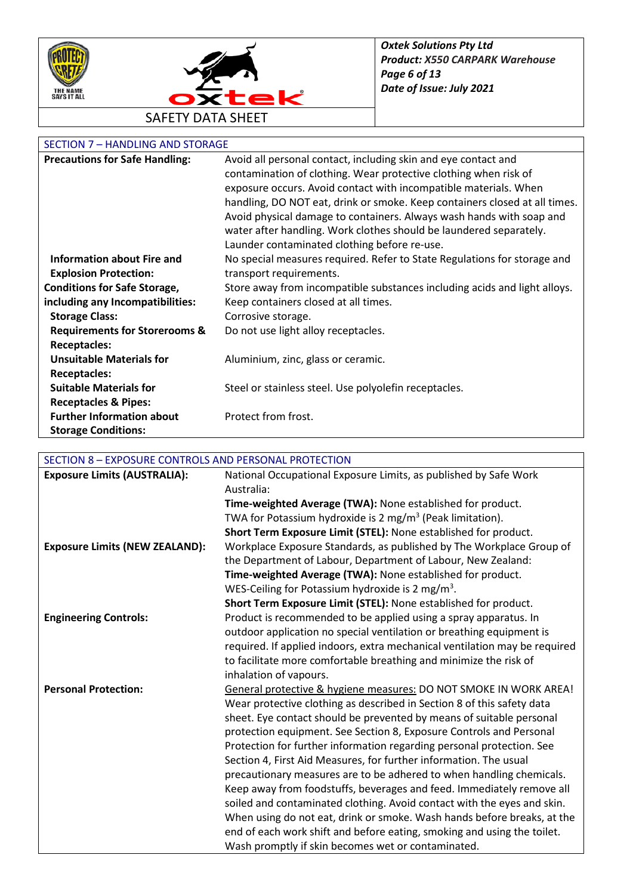



## SECTION 7 – HANDLING AND STORAGE

| <b>Precautions for Safe Handling:</b>    | Avoid all personal contact, including skin and eye contact and             |
|------------------------------------------|----------------------------------------------------------------------------|
|                                          | contamination of clothing. Wear protective clothing when risk of           |
|                                          | exposure occurs. Avoid contact with incompatible materials. When           |
|                                          | handling, DO NOT eat, drink or smoke. Keep containers closed at all times. |
|                                          | Avoid physical damage to containers. Always wash hands with soap and       |
|                                          | water after handling. Work clothes should be laundered separately.         |
|                                          | Launder contaminated clothing before re-use.                               |
| <b>Information about Fire and</b>        | No special measures required. Refer to State Regulations for storage and   |
| <b>Explosion Protection:</b>             | transport requirements.                                                    |
| <b>Conditions for Safe Storage,</b>      | Store away from incompatible substances including acids and light alloys.  |
| including any Incompatibilities:         | Keep containers closed at all times.                                       |
| <b>Storage Class:</b>                    | Corrosive storage.                                                         |
| <b>Requirements for Storerooms &amp;</b> | Do not use light alloy receptacles.                                        |
| <b>Receptacles:</b>                      |                                                                            |
| <b>Unsuitable Materials for</b>          | Aluminium, zinc, glass or ceramic.                                         |
| <b>Receptacles:</b>                      |                                                                            |
| <b>Suitable Materials for</b>            | Steel or stainless steel. Use polyolefin receptacles.                      |
| <b>Receptacles &amp; Pipes:</b>          |                                                                            |
| <b>Further Information about</b>         | Protect from frost.                                                        |
| <b>Storage Conditions:</b>               |                                                                            |

### SECTION 8 – EXPOSURE CONTROLS AND PERSONAL PROTECTION

| <b>Exposure Limits (AUSTRALIA):</b>   | National Occupational Exposure Limits, as published by Safe Work           |
|---------------------------------------|----------------------------------------------------------------------------|
|                                       | Australia:                                                                 |
|                                       | Time-weighted Average (TWA): None established for product.                 |
|                                       | TWA for Potassium hydroxide is 2 mg/m <sup>3</sup> (Peak limitation).      |
|                                       | Short Term Exposure Limit (STEL): None established for product.            |
| <b>Exposure Limits (NEW ZEALAND):</b> | Workplace Exposure Standards, as published by The Workplace Group of       |
|                                       | the Department of Labour, Department of Labour, New Zealand:               |
|                                       | Time-weighted Average (TWA): None established for product.                 |
|                                       | WES-Ceiling for Potassium hydroxide is 2 mg/m <sup>3</sup> .               |
|                                       | Short Term Exposure Limit (STEL): None established for product.            |
| <b>Engineering Controls:</b>          | Product is recommended to be applied using a spray apparatus. In           |
|                                       | outdoor application no special ventilation or breathing equipment is       |
|                                       | required. If applied indoors, extra mechanical ventilation may be required |
|                                       | to facilitate more comfortable breathing and minimize the risk of          |
|                                       | inhalation of vapours.                                                     |
| <b>Personal Protection:</b>           | General protective & hygiene measures: DO NOT SMOKE IN WORK AREA!          |
|                                       | Wear protective clothing as described in Section 8 of this safety data     |
|                                       | sheet. Eye contact should be prevented by means of suitable personal       |
|                                       | protection equipment. See Section 8, Exposure Controls and Personal        |
|                                       | Protection for further information regarding personal protection. See      |
|                                       | Section 4, First Aid Measures, for further information. The usual          |
|                                       | precautionary measures are to be adhered to when handling chemicals.       |
|                                       | Keep away from foodstuffs, beverages and feed. Immediately remove all      |
|                                       | soiled and contaminated clothing. Avoid contact with the eyes and skin.    |
|                                       | When using do not eat, drink or smoke. Wash hands before breaks, at the    |
|                                       | end of each work shift and before eating, smoking and using the toilet.    |
|                                       | Wash promptly if skin becomes wet or contaminated.                         |
|                                       |                                                                            |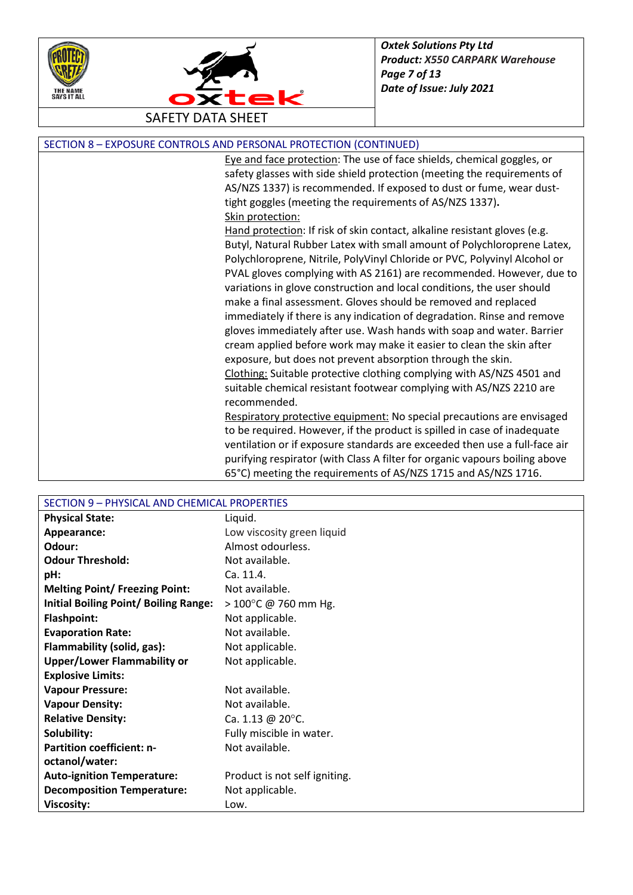



| SECTION 8 - EXPOSURE CONTROLS AND PERSONAL PROTECTION (CONTINUED) |  |
|-------------------------------------------------------------------|--|
|-------------------------------------------------------------------|--|

Eye and face protection: The use of face shields, chemical goggles, or safety glasses with side shield protection (meeting the requirements of AS/NZS 1337) is recommended. If exposed to dust or fume, wear dusttight goggles (meeting the requirements of AS/NZS 1337)**.** Skin protection:

Hand protection: If risk of skin contact, alkaline resistant gloves (e.g. Butyl, Natural Rubber Latex with small amount of Polychloroprene Latex, Polychloroprene, Nitrile, PolyVinyl Chloride or PVC, Polyvinyl Alcohol or PVAL gloves complying with AS 2161) are recommended. However, due to variations in glove construction and local conditions, the user should make a final assessment. Gloves should be removed and replaced immediately if there is any indication of degradation. Rinse and remove gloves immediately after use. Wash hands with soap and water. Barrier cream applied before work may make it easier to clean the skin after exposure, but does not prevent absorption through the skin. Clothing: Suitable protective clothing complying with AS/NZS 4501 and suitable chemical resistant footwear complying with AS/NZS 2210 are recommended.

Respiratory protective equipment: No special precautions are envisaged to be required. However, if the product is spilled in case of inadequate ventilation or if exposure standards are exceeded then use a full-face air purifying respirator (with Class A filter for organic vapours boiling above 65°C) meeting the requirements of AS/NZS 1715 and AS/NZS 1716.

| SECTION 9 - PHYSICAL AND CHEMICAL PROPERTIES |                                |
|----------------------------------------------|--------------------------------|
| <b>Physical State:</b>                       | Liquid.                        |
| Appearance:                                  | Low viscosity green liquid     |
| Odour:                                       | Almost odourless.              |
| <b>Odour Threshold:</b>                      | Not available.                 |
| pH:                                          | Ca. 11.4.                      |
| <b>Melting Point/ Freezing Point:</b>        | Not available.                 |
| <b>Initial Boiling Point/ Boiling Range:</b> | $> 100^{\circ}$ C @ 760 mm Hg. |
| <b>Flashpoint:</b>                           | Not applicable.                |
| <b>Evaporation Rate:</b>                     | Not available.                 |
| Flammability (solid, gas):                   | Not applicable.                |
| <b>Upper/Lower Flammability or</b>           | Not applicable.                |
| <b>Explosive Limits:</b>                     |                                |
| <b>Vapour Pressure:</b>                      | Not available.                 |
| <b>Vapour Density:</b>                       | Not available.                 |
| <b>Relative Density:</b>                     | Ca. 1.13 @ 20 $^{\circ}$ C.    |
| Solubility:                                  | Fully miscible in water.       |
| <b>Partition coefficient: n-</b>             | Not available.                 |
| octanol/water:                               |                                |
| <b>Auto-ignition Temperature:</b>            | Product is not self igniting.  |
| <b>Decomposition Temperature:</b>            | Not applicable.                |
| <b>Viscosity:</b>                            | Low.                           |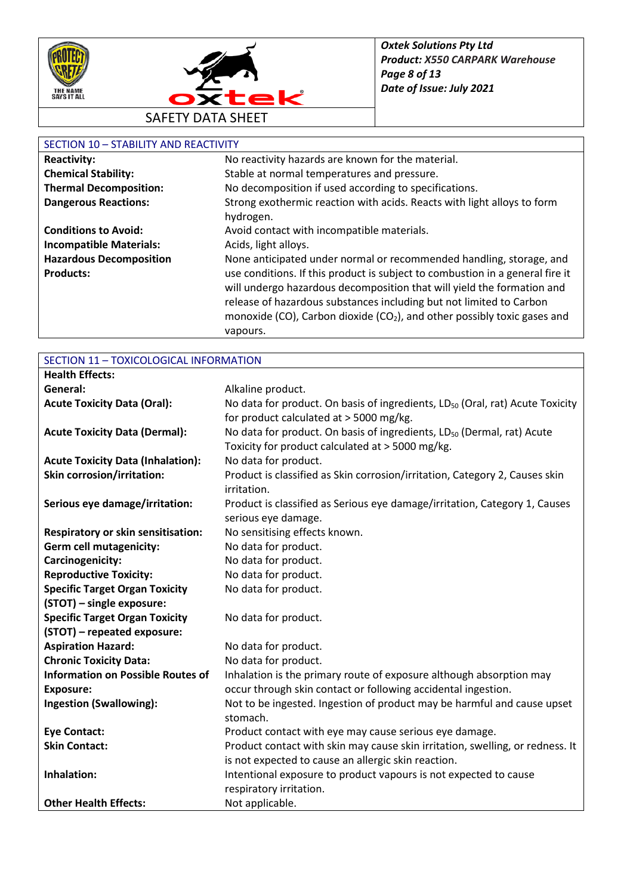



## SECTION 10 – STABILITY AND REACTIVITY

| JL JI JUN 10                   |                                                                                      |
|--------------------------------|--------------------------------------------------------------------------------------|
| <b>Reactivity:</b>             | No reactivity hazards are known for the material.                                    |
| <b>Chemical Stability:</b>     | Stable at normal temperatures and pressure.                                          |
| <b>Thermal Decomposition:</b>  | No decomposition if used according to specifications.                                |
| <b>Dangerous Reactions:</b>    | Strong exothermic reaction with acids. Reacts with light alloys to form              |
|                                | hydrogen.                                                                            |
| <b>Conditions to Avoid:</b>    | Avoid contact with incompatible materials.                                           |
| <b>Incompatible Materials:</b> | Acids, light alloys.                                                                 |
| <b>Hazardous Decomposition</b> | None anticipated under normal or recommended handling, storage, and                  |
| <b>Products:</b>               | use conditions. If this product is subject to combustion in a general fire it        |
|                                | will undergo hazardous decomposition that will yield the formation and               |
|                                | release of hazardous substances including but not limited to Carbon                  |
|                                | monoxide (CO), Carbon dioxide (CO <sub>2</sub> ), and other possibly toxic gases and |
|                                | vapours.                                                                             |

| SECTION 11 - TOXICOLOGICAL INFORMATION    |                                                                                           |
|-------------------------------------------|-------------------------------------------------------------------------------------------|
| <b>Health Effects:</b>                    |                                                                                           |
| General:                                  | Alkaline product.                                                                         |
| <b>Acute Toxicity Data (Oral):</b>        | No data for product. On basis of ingredients, LD <sub>50</sub> (Oral, rat) Acute Toxicity |
|                                           | for product calculated at > 5000 mg/kg.                                                   |
| <b>Acute Toxicity Data (Dermal):</b>      | No data for product. On basis of ingredients, LD <sub>50</sub> (Dermal, rat) Acute        |
|                                           | Toxicity for product calculated at > 5000 mg/kg.                                          |
| <b>Acute Toxicity Data (Inhalation):</b>  | No data for product.                                                                      |
| <b>Skin corrosion/irritation:</b>         | Product is classified as Skin corrosion/irritation, Category 2, Causes skin               |
|                                           | irritation.                                                                               |
| Serious eye damage/irritation:            | Product is classified as Serious eye damage/irritation, Category 1, Causes                |
|                                           | serious eye damage.                                                                       |
| <b>Respiratory or skin sensitisation:</b> | No sensitising effects known.                                                             |
| <b>Germ cell mutagenicity:</b>            | No data for product.                                                                      |
| Carcinogenicity:                          | No data for product.                                                                      |
| <b>Reproductive Toxicity:</b>             | No data for product.                                                                      |
| <b>Specific Target Organ Toxicity</b>     | No data for product.                                                                      |
| (STOT) - single exposure:                 |                                                                                           |
| <b>Specific Target Organ Toxicity</b>     | No data for product.                                                                      |
| (STOT) - repeated exposure:               |                                                                                           |
| <b>Aspiration Hazard:</b>                 | No data for product.                                                                      |
| <b>Chronic Toxicity Data:</b>             | No data for product.                                                                      |
| <b>Information on Possible Routes of</b>  | Inhalation is the primary route of exposure although absorption may                       |
| <b>Exposure:</b>                          | occur through skin contact or following accidental ingestion.                             |
| <b>Ingestion (Swallowing):</b>            | Not to be ingested. Ingestion of product may be harmful and cause upset                   |
|                                           | stomach.                                                                                  |
| <b>Eye Contact:</b>                       | Product contact with eye may cause serious eye damage.                                    |
| <b>Skin Contact:</b>                      | Product contact with skin may cause skin irritation, swelling, or redness. It             |
|                                           | is not expected to cause an allergic skin reaction.                                       |
| Inhalation:                               | Intentional exposure to product vapours is not expected to cause                          |
|                                           | respiratory irritation.                                                                   |
| <b>Other Health Effects:</b>              | Not applicable.                                                                           |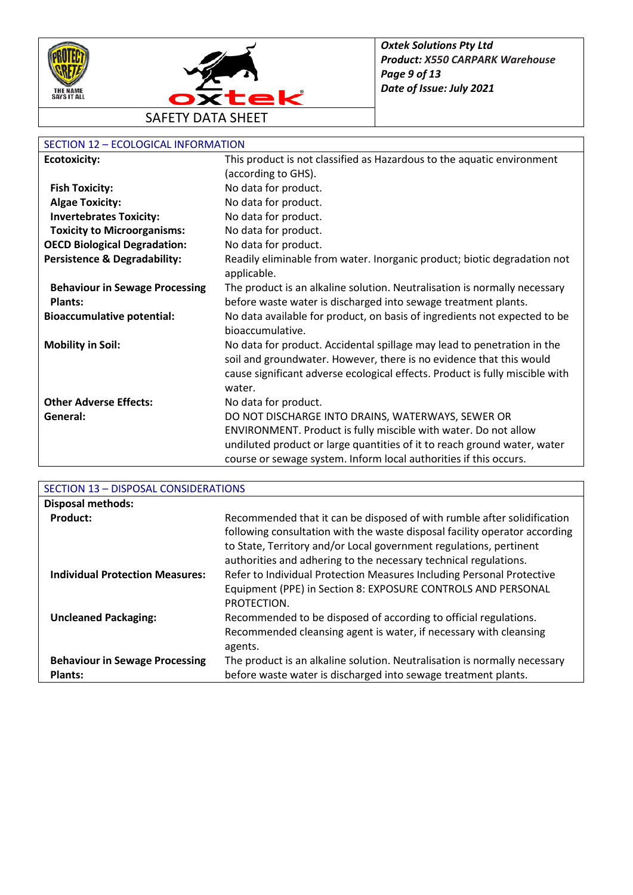



# SECTION 12 – ECOLOGICAL INFORMATION

| <b>Ecotoxicity:</b>                     | This product is not classified as Hazardous to the aquatic environment                        |
|-----------------------------------------|-----------------------------------------------------------------------------------------------|
|                                         | (according to GHS).                                                                           |
| <b>Fish Toxicity:</b>                   | No data for product.                                                                          |
| <b>Algae Toxicity:</b>                  | No data for product.                                                                          |
| <b>Invertebrates Toxicity:</b>          | No data for product.                                                                          |
| <b>Toxicity to Microorganisms:</b>      | No data for product.                                                                          |
| <b>OECD Biological Degradation:</b>     | No data for product.                                                                          |
| <b>Persistence &amp; Degradability:</b> | Readily eliminable from water. Inorganic product; biotic degradation not<br>applicable.       |
| <b>Behaviour in Sewage Processing</b>   | The product is an alkaline solution. Neutralisation is normally necessary                     |
| <b>Plants:</b>                          | before waste water is discharged into sewage treatment plants.                                |
| <b>Bioaccumulative potential:</b>       | No data available for product, on basis of ingredients not expected to be<br>bioaccumulative. |
| <b>Mobility in Soil:</b>                | No data for product. Accidental spillage may lead to penetration in the                       |
|                                         | soil and groundwater. However, there is no evidence that this would                           |
|                                         | cause significant adverse ecological effects. Product is fully miscible with                  |
|                                         | water.                                                                                        |
| <b>Other Adverse Effects:</b>           | No data for product.                                                                          |
| General:                                | DO NOT DISCHARGE INTO DRAINS, WATERWAYS, SEWER OR                                             |
|                                         | ENVIRONMENT. Product is fully miscible with water. Do not allow                               |
|                                         | undiluted product or large quantities of it to reach ground water, water                      |
|                                         | course or sewage system. Inform local authorities if this occurs.                             |

| SECTION 13 - DISPOSAL CONSIDERATIONS             |                                                                                                                                                                                                                                                                                                 |
|--------------------------------------------------|-------------------------------------------------------------------------------------------------------------------------------------------------------------------------------------------------------------------------------------------------------------------------------------------------|
| <b>Disposal methods:</b>                         |                                                                                                                                                                                                                                                                                                 |
| <b>Product:</b>                                  | Recommended that it can be disposed of with rumble after solidification<br>following consultation with the waste disposal facility operator according<br>to State, Territory and/or Local government regulations, pertinent<br>authorities and adhering to the necessary technical regulations. |
| <b>Individual Protection Measures:</b>           | Refer to Individual Protection Measures Including Personal Protective<br>Equipment (PPE) in Section 8: EXPOSURE CONTROLS AND PERSONAL<br>PROTECTION.                                                                                                                                            |
| <b>Uncleaned Packaging:</b>                      | Recommended to be disposed of according to official regulations.<br>Recommended cleansing agent is water, if necessary with cleansing<br>agents.                                                                                                                                                |
| <b>Behaviour in Sewage Processing</b><br>Plants: | The product is an alkaline solution. Neutralisation is normally necessary<br>before waste water is discharged into sewage treatment plants.                                                                                                                                                     |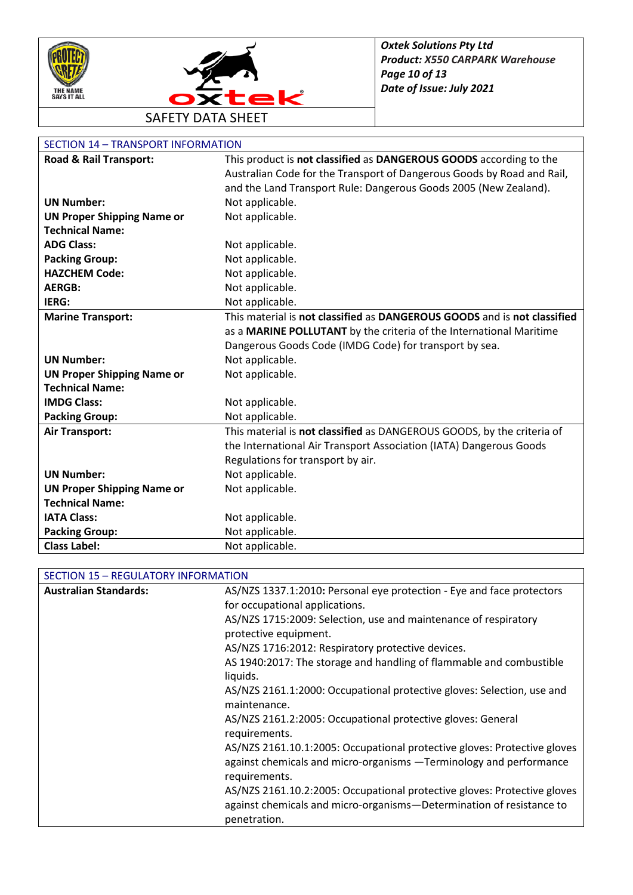



| Road & Rail Transport:            | This product is not classified as DANGEROUS GOODS according to the       |
|-----------------------------------|--------------------------------------------------------------------------|
|                                   | Australian Code for the Transport of Dangerous Goods by Road and Rail,   |
|                                   | and the Land Transport Rule: Dangerous Goods 2005 (New Zealand).         |
| <b>UN Number:</b>                 | Not applicable.                                                          |
| <b>UN Proper Shipping Name or</b> | Not applicable.                                                          |
| <b>Technical Name:</b>            |                                                                          |
| <b>ADG Class:</b>                 | Not applicable.                                                          |
| <b>Packing Group:</b>             | Not applicable.                                                          |
| <b>HAZCHEM Code:</b>              | Not applicable.                                                          |
| <b>AERGB:</b>                     | Not applicable.                                                          |
| IERG:                             | Not applicable.                                                          |
| <b>Marine Transport:</b>          | This material is not classified as DANGEROUS GOODS and is not classified |
|                                   | as a MARINE POLLUTANT by the criteria of the International Maritime      |
|                                   | Dangerous Goods Code (IMDG Code) for transport by sea.                   |
| <b>UN Number:</b>                 | Not applicable.                                                          |
| <b>UN Proper Shipping Name or</b> | Not applicable.                                                          |
| <b>Technical Name:</b>            |                                                                          |
| <b>IMDG Class:</b>                | Not applicable.                                                          |
| <b>Packing Group:</b>             | Not applicable.                                                          |
| <b>Air Transport:</b>             | This material is not classified as DANGEROUS GOODS, by the criteria of   |
|                                   | the International Air Transport Association (IATA) Dangerous Goods       |
|                                   | Regulations for transport by air.                                        |
| <b>UN Number:</b>                 | Not applicable.                                                          |
| <b>UN Proper Shipping Name or</b> | Not applicable.                                                          |
| <b>Technical Name:</b>            |                                                                          |
| <b>IATA Class:</b>                | Not applicable.                                                          |
| <b>Packing Group:</b>             | Not applicable.                                                          |
| <b>Class Label:</b>               | Not applicable.                                                          |

| <b>Australian Standards:</b> | AS/NZS 1337.1:2010: Personal eye protection - Eye and face protectors                  |
|------------------------------|----------------------------------------------------------------------------------------|
|                              | for occupational applications.                                                         |
|                              | AS/NZS 1715:2009: Selection, use and maintenance of respiratory                        |
|                              | protective equipment.                                                                  |
|                              | AS/NZS 1716:2012: Respiratory protective devices.                                      |
|                              | AS 1940:2017: The storage and handling of flammable and combustible<br>liquids.        |
|                              | AS/NZS 2161.1:2000: Occupational protective gloves: Selection, use and<br>maintenance. |
|                              | AS/NZS 2161.2:2005: Occupational protective gloves: General<br>requirements.           |
|                              | AS/NZS 2161.10.1:2005: Occupational protective gloves: Protective gloves               |
|                              | against chemicals and micro-organisms -Terminology and performance                     |
|                              | requirements.                                                                          |
|                              | AS/NZS 2161.10.2:2005: Occupational protective gloves: Protective gloves               |
|                              | against chemicals and micro-organisms-Determination of resistance to                   |
|                              | penetration.                                                                           |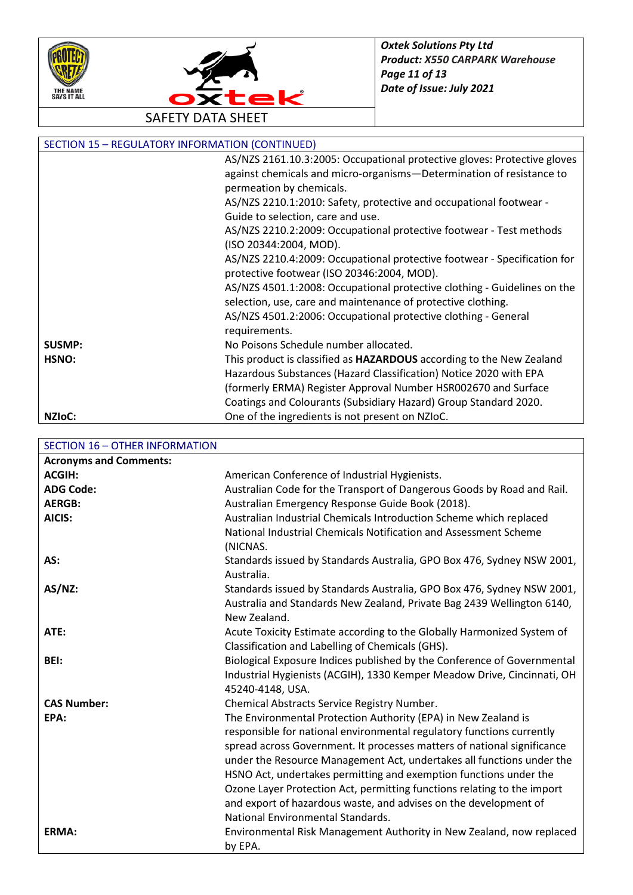



| <b>SECTION 15 - REGULATORY INFORMATION (CONTINUED)</b> |                                                                             |
|--------------------------------------------------------|-----------------------------------------------------------------------------|
|                                                        | AS/NZS 2161.10.3:2005: Occupational protective gloves: Protective gloves    |
|                                                        | against chemicals and micro-organisms-Determination of resistance to        |
|                                                        | permeation by chemicals.                                                    |
|                                                        | AS/NZS 2210.1:2010: Safety, protective and occupational footwear -          |
|                                                        | Guide to selection, care and use.                                           |
|                                                        | AS/NZS 2210.2:2009: Occupational protective footwear - Test methods         |
|                                                        | (ISO 20344:2004, MOD).                                                      |
|                                                        | AS/NZS 2210.4:2009: Occupational protective footwear - Specification for    |
|                                                        | protective footwear (ISO 20346:2004, MOD).                                  |
|                                                        | AS/NZS 4501.1:2008: Occupational protective clothing - Guidelines on the    |
|                                                        | selection, use, care and maintenance of protective clothing.                |
|                                                        | AS/NZS 4501.2:2006: Occupational protective clothing - General              |
|                                                        | requirements.                                                               |
| <b>SUSMP:</b>                                          | No Poisons Schedule number allocated.                                       |
| HSNO:                                                  | This product is classified as <b>HAZARDOUS</b> according to the New Zealand |
|                                                        | Hazardous Substances (Hazard Classification) Notice 2020 with EPA           |
|                                                        | (formerly ERMA) Register Approval Number HSR002670 and Surface              |
|                                                        | Coatings and Colourants (Subsidiary Hazard) Group Standard 2020.            |
| NZI <sub>o</sub> C:                                    | One of the ingredients is not present on NZIoC.                             |

SECTION 16 – OTHER INFORMATION

| <b>Acronyms and Comments:</b> |                                                                         |
|-------------------------------|-------------------------------------------------------------------------|
| <b>ACGIH:</b>                 | American Conference of Industrial Hygienists.                           |
| <b>ADG Code:</b>              | Australian Code for the Transport of Dangerous Goods by Road and Rail.  |
| <b>AERGB:</b>                 | Australian Emergency Response Guide Book (2018).                        |
| AICIS:                        | Australian Industrial Chemicals Introduction Scheme which replaced      |
|                               | National Industrial Chemicals Notification and Assessment Scheme        |
|                               | (NICNAS.                                                                |
| AS:                           | Standards issued by Standards Australia, GPO Box 476, Sydney NSW 2001,  |
|                               | Australia.                                                              |
| $AS/NZ$ :                     | Standards issued by Standards Australia, GPO Box 476, Sydney NSW 2001,  |
|                               | Australia and Standards New Zealand, Private Bag 2439 Wellington 6140,  |
|                               | New Zealand.                                                            |
| ATE:                          | Acute Toxicity Estimate according to the Globally Harmonized System of  |
|                               | Classification and Labelling of Chemicals (GHS).                        |
| BEI:                          | Biological Exposure Indices published by the Conference of Governmental |
|                               | Industrial Hygienists (ACGIH), 1330 Kemper Meadow Drive, Cincinnati, OH |
|                               | 45240-4148, USA.                                                        |
| <b>CAS Number:</b>            | Chemical Abstracts Service Registry Number.                             |
| EPA:                          | The Environmental Protection Authority (EPA) in New Zealand is          |
|                               | responsible for national environmental regulatory functions currently   |
|                               | spread across Government. It processes matters of national significance |
|                               | under the Resource Management Act, undertakes all functions under the   |
|                               | HSNO Act, undertakes permitting and exemption functions under the       |
|                               | Ozone Layer Protection Act, permitting functions relating to the import |
|                               | and export of hazardous waste, and advises on the development of        |
|                               | National Environmental Standards.                                       |
| ERMA:                         | Environmental Risk Management Authority in New Zealand, now replaced    |
|                               | by EPA.                                                                 |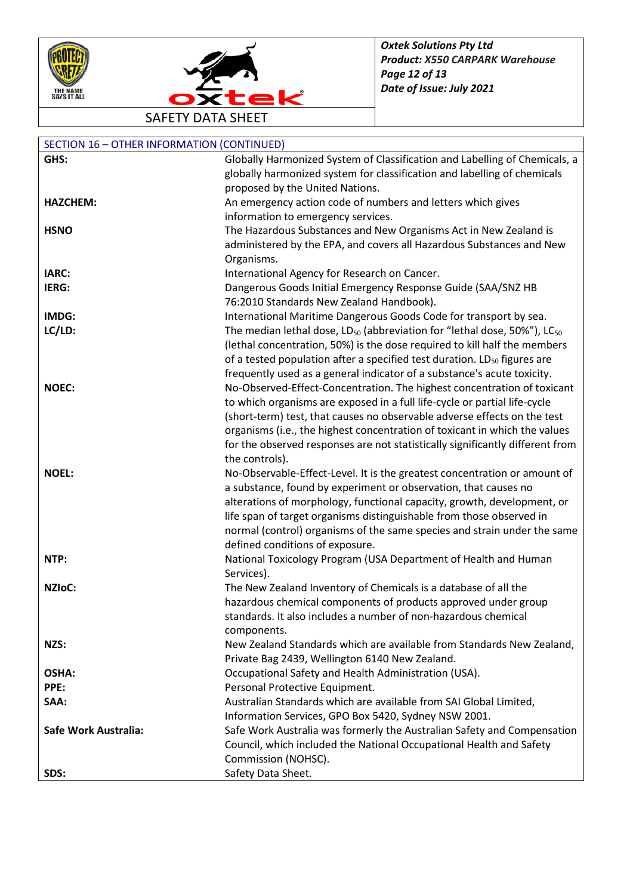



| <b>SECTION 16 - OTHER INFORMATION (CONTINUED)</b> |                                                                                                                                                        |
|---------------------------------------------------|--------------------------------------------------------------------------------------------------------------------------------------------------------|
| GHS:                                              | Globally Harmonized System of Classification and Labelling of Chemicals, a                                                                             |
|                                                   | globally harmonized system for classification and labelling of chemicals                                                                               |
|                                                   | proposed by the United Nations.                                                                                                                        |
| <b>HAZCHEM:</b>                                   | An emergency action code of numbers and letters which gives                                                                                            |
|                                                   | information to emergency services.                                                                                                                     |
| <b>HSNO</b>                                       | The Hazardous Substances and New Organisms Act in New Zealand is                                                                                       |
|                                                   | administered by the EPA, and covers all Hazardous Substances and New                                                                                   |
|                                                   | Organisms.                                                                                                                                             |
| IARC:                                             | International Agency for Research on Cancer.                                                                                                           |
| IERG:                                             | Dangerous Goods Initial Emergency Response Guide (SAA/SNZ HB                                                                                           |
|                                                   | 76:2010 Standards New Zealand Handbook).                                                                                                               |
| IMDG:                                             | International Maritime Dangerous Goods Code for transport by sea.                                                                                      |
| LC/LD:                                            | The median lethal dose, LD <sub>50</sub> (abbreviation for "lethal dose, 50%"), LC <sub>50</sub>                                                       |
|                                                   | (lethal concentration, 50%) is the dose required to kill half the members                                                                              |
|                                                   | of a tested population after a specified test duration. LD <sub>50</sub> figures are                                                                   |
|                                                   | frequently used as a general indicator of a substance's acute toxicity.                                                                                |
| <b>NOEC:</b>                                      | No-Observed-Effect-Concentration. The highest concentration of toxicant                                                                                |
|                                                   | to which organisms are exposed in a full life-cycle or partial life-cycle                                                                              |
|                                                   | (short-term) test, that causes no observable adverse effects on the test<br>organisms (i.e., the highest concentration of toxicant in which the values |
|                                                   | for the observed responses are not statistically significantly different from                                                                          |
|                                                   | the controls).                                                                                                                                         |
| <b>NOEL:</b>                                      | No-Observable-Effect-Level. It is the greatest concentration or amount of                                                                              |
|                                                   | a substance, found by experiment or observation, that causes no                                                                                        |
|                                                   | alterations of morphology, functional capacity, growth, development, or                                                                                |
|                                                   | life span of target organisms distinguishable from those observed in                                                                                   |
|                                                   | normal (control) organisms of the same species and strain under the same                                                                               |
|                                                   | defined conditions of exposure.                                                                                                                        |
| NTP:                                              | National Toxicology Program (USA Department of Health and Human                                                                                        |
|                                                   | Services).                                                                                                                                             |
| NZIoC:                                            | The New Zealand Inventory of Chemicals is a database of all the                                                                                        |
|                                                   | hazardous chemical components of products approved under group                                                                                         |
|                                                   | standards. It also includes a number of non-hazardous chemical                                                                                         |
|                                                   | components.                                                                                                                                            |
| NZS:                                              | New Zealand Standards which are available from Standards New Zealand,                                                                                  |
|                                                   | Private Bag 2439, Wellington 6140 New Zealand.                                                                                                         |
| OSHA:                                             | Occupational Safety and Health Administration (USA).                                                                                                   |
| PPE:                                              | Personal Protective Equipment.                                                                                                                         |
| SAA:                                              | Australian Standards which are available from SAI Global Limited,                                                                                      |
|                                                   | Information Services, GPO Box 5420, Sydney NSW 2001.                                                                                                   |
| Safe Work Australia:                              | Safe Work Australia was formerly the Australian Safety and Compensation                                                                                |
|                                                   | Council, which included the National Occupational Health and Safety                                                                                    |
|                                                   | Commission (NOHSC).                                                                                                                                    |
| SDS:                                              | Safety Data Sheet.                                                                                                                                     |